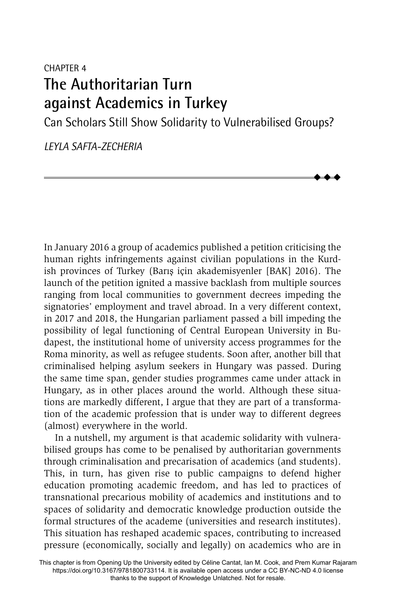# CHAPTER 4 **The Authoritarian Turn against Academics in Turkey**

Can Scholars Still Show Solidarity to Vulnerabilised Groups?

 $\blacklozenge$  $\blacklozenge$  $\blacklozenge$ 

*LEYLA SAFTA-ZECHERIA*

In January 2016 a group of academics published a petition criticising the human rights infringements against civilian populations in the Kurdish provinces of Turkey (Barıs¸ için akademisyenler [BAK] 2016). The launch of the petition ignited a massive backlash from multiple sources ranging from local communities to government decrees impeding the signatories' employment and travel abroad. In a very different context, in 2017 and 2018, the Hungarian parliament passed a bill impeding the possibility of legal functioning of Central European University in Budapest, the institutional home of university access programmes for the Roma minority, as well as refugee students. Soon after, another bill that criminalised helping asylum seekers in Hungary was passed. During the same time span, gender studies programmes came under attack in Hungary, as in other places around the world. Although these situations are markedly different, I argue that they are part of a transformation of the academic profession that is under way to different degrees (almost) everywhere in the world.

In a nutshell, my argument is that academic solidarity with vulnerabilised groups has come to be penalised by authoritarian governments through criminalisation and precarisation of academics (and students). This, in turn, has given rise to public campaigns to defend higher education promoting academic freedom, and has led to practices of transnational precarious mobility of academics and institutions and to spaces of solidarity and democratic knowledge production outside the formal structures of the academe (universities and research institutes). This situation has reshaped academic spaces, contributing to increased pressure (economically, socially and legally) on academics who are in

This chapter is from Opening Up the University edited by Céline Cantat, Ian M. Cook, and Prem Kumar Rajaram https://doi.org/10.3167/9781800733114. It is available open access under a CC BY-NC-ND 4.0 license thanks to the support of Knowledge Unlatched. Not for resale.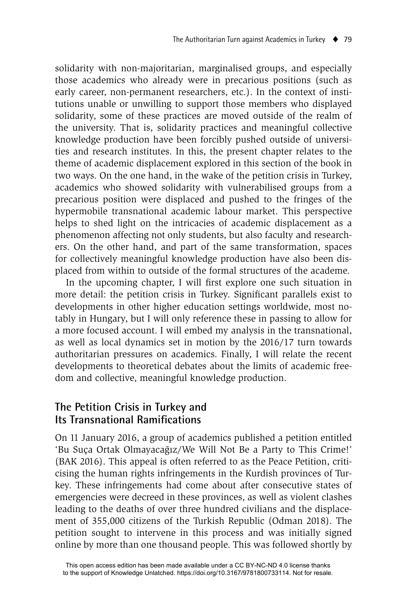solidarity with non-majoritarian, marginalised groups, and especially those academics who already were in precarious positions (such as early career, non-permanent researchers, etc.). In the context of institutions unable or unwilling to support those members who displayed solidarity, some of these practices are moved outside of the realm of the university. That is, solidarity practices and meaningful collective knowledge production have been forcibly pushed outside of universities and research institutes. In this, the present chapter relates to the theme of academic displacement explored in this section of the book in two ways. On the one hand, in the wake of the petition crisis in Turkey, academics who showed solidarity with vulnerabilised groups from a precarious position were displaced and pushed to the fringes of the hypermobile transnational academic labour market. This perspective helps to shed light on the intricacies of academic displacement as a phenomenon affecting not only students, but also faculty and researchers. On the other hand, and part of the same transformation, spaces for collectively meaningful knowledge production have also been displaced from within to outside of the formal structures of the academe.

In the upcoming chapter, I will first explore one such situation in more detail: the petition crisis in Turkey. Significant parallels exist to developments in other higher education settings worldwide, most notably in Hungary, but I will only reference these in passing to allow for a more focused account. I will embed my analysis in the transnational, as well as local dynamics set in motion by the 2016/17 turn towards authoritarian pressures on academics. Finally, I will relate the recent developments to theoretical debates about the limits of academic freedom and collective, meaningful knowledge production.

### **The Petition Crisis in Turkey and Its Transnational Ramifications**

On 11 January 2016, a group of academics published a petition entitled 'Bu Suça Ortak Olmayacağız/We Will Not Be a Party to This Crime!' (BAK 2016). This appeal is often referred to as the Peace Petition, criticising the human rights infringements in the Kurdish provinces of Turkey. These infringements had come about after consecutive states of emergencies were decreed in these provinces, as well as violent clashes leading to the deaths of over three hundred civilians and the displacement of 355,000 citizens of the Turkish Republic (Odman 2018). The petition sought to intervene in this process and was initially signed online by more than one thousand people. This was followed shortly by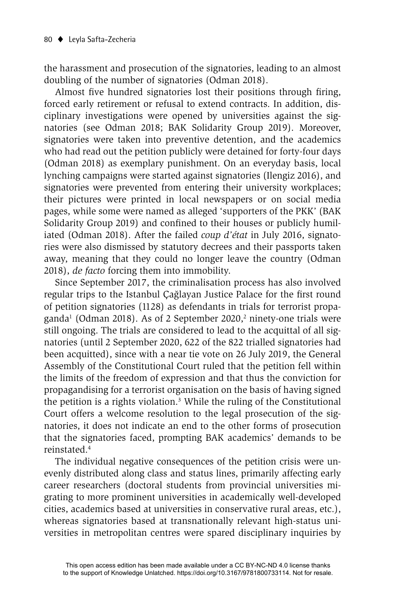the harassment and prosecution of the signatories, leading to an almost doubling of the number of signatories (Odman 2018).

Almost five hundred signatories lost their positions through firing, forced early retirement or refusal to extend contracts. In addition, disciplinary investigations were opened by universities against the signatories (see Odman 2018; BAK Solidarity Group 2019). Moreover, signatories were taken into preventive detention, and the academics who had read out the petition publicly were detained for forty-four days (Odman 2018) as exemplary punishment. On an everyday basis, local lynching campaigns were started against signatories (Ilengiz 2016), and signatories were prevented from entering their university workplaces; their pictures were printed in local newspapers or on social media pages, while some were named as alleged 'supporters of the PKK' (BAK Solidarity Group 2019) and confined to their houses or publicly humiliated (Odman 2018). After the failed *coup d'état* in July 2016, signatories were also dismissed by statutory decrees and their passports taken away, meaning that they could no longer leave the country (Odman 2018), *de facto* forcing them into immobility.

Since September 2017, the criminalisation process has also involved regular trips to the Istanbul Çağlayan Justice Palace for the first round of petition signatories (1128) as defendants in trials for terrorist propaganda<sup>1</sup> (Odman 2018). As of 2 September 2020,<sup>2</sup> ninety-one trials were still ongoing. The trials are considered to lead to the acquittal of all signatories (until 2 September 2020, 622 of the 822 trialled signatories had been acquitted), since with a near tie vote on 26 July 2019, the General Assembly of the Constitutional Court ruled that the petition fell within the limits of the freedom of expression and that thus the conviction for propagandising for a terrorist organisation on the basis of having signed the petition is a rights violation.3 While the ruling of the Constitutional Court offers a welcome resolution to the legal prosecution of the signatories, it does not indicate an end to the other forms of prosecution that the signatories faced, prompting BAK academics' demands to be reinstated.4

The individual negative consequences of the petition crisis were unevenly distributed along class and status lines, primarily affecting early career researchers (doctoral students from provincial universities migrating to more prominent universities in academically well-developed cities, academics based at universities in conservative rural areas, etc.), whereas signatories based at transnationally relevant high-status universities in metropolitan centres were spared disciplinary inquiries by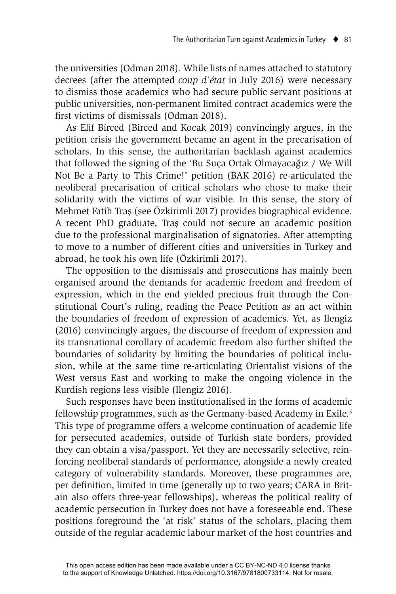the universities (Odman 2018). While lists of names attached to statutory decrees (after the attempted *coup d'état* in July 2016) were necessary to dismiss those academics who had secure public servant positions at public universities, non-permanent limited contract academics were the first victims of dismissals (Odman 2018).

As Elif Birced (Birced and Kocak 2019) convincingly argues, in the petition crisis the government became an agent in the precarisation of scholars. In this sense, the authoritarian backlash against academics that followed the signing of the 'Bu Suça Ortak Olmayacağız / We Will Not Be a Party to This Crime!' petition (BAK 2016) re-articulated the neoliberal precarisation of critical scholars who chose to make their solidarity with the victims of war visible. In this sense, the story of Mehmet Fatih Tras¸ (see Özkirimli 2017) provides biographical evidence. A recent PhD graduate, Tras¸ could not secure an academic position due to the professional marginalisation of signatories. After attempting to move to a number of different cities and universities in Turkey and abroad, he took his own life (Özkirimli 2017).

The opposition to the dismissals and prosecutions has mainly been organised around the demands for academic freedom and freedom of expression, which in the end yielded precious fruit through the Constitutional Court's ruling, reading the Peace Petition as an act within the boundaries of freedom of expression of academics. Yet, as Ilengiz (2016) convincingly argues, the discourse of freedom of expression and its transnational corollary of academic freedom also further shifted the boundaries of solidarity by limiting the boundaries of political inclusion, while at the same time re-articulating Orientalist visions of the West versus East and working to make the ongoing violence in the Kurdish regions less visible (Ilengiz 2016).

Such responses have been institutionalised in the forms of academic fellowship programmes, such as the Germany-based Academy in Exile.<sup>5</sup> This type of programme offers a welcome continuation of academic life for persecuted academics, outside of Turkish state borders, provided they can obtain a visa/passport. Yet they are necessarily selective, reinforcing neoliberal standards of performance, alongside a newly created category of vulnerability standards. Moreover, these programmes are, per definition, limited in time (generally up to two years; CARA in Britain also offers three-year fellowships), whereas the political reality of academic persecution in Turkey does not have a foreseeable end. These positions foreground the 'at risk' status of the scholars, placing them outside of the regular academic labour market of the host countries and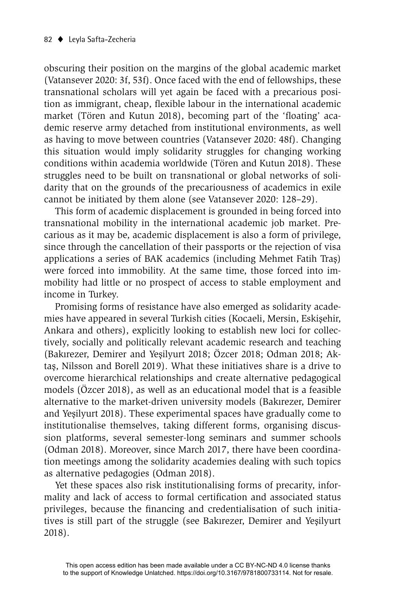obscuring their position on the margins of the global academic market (Vatansever 2020: 3f, 53f). Once faced with the end of fellowships, these transnational scholars will yet again be faced with a precarious position as immigrant, cheap, flexible labour in the international academic market (Tören and Kutun 2018), becoming part of the 'floating' academic reserve army detached from institutional environments, as well as having to move between countries (Vatansever 2020: 48f). Changing this situation would imply solidarity struggles for changing working conditions within academia worldwide (Tören and Kutun 2018). These struggles need to be built on transnational or global networks of solidarity that on the grounds of the precariousness of academics in exile cannot be initiated by them alone (see Vatansever 2020: 128–29).

This form of academic displacement is grounded in being forced into transnational mobility in the international academic job market. Precarious as it may be, academic displacement is also a form of privilege, since through the cancellation of their passports or the rejection of visa applications a series of BAK academics (including Mehmet Fatih Tras) were forced into immobility. At the same time, those forced into immobility had little or no prospect of access to stable employment and income in Turkey.

Promising forms of resistance have also emerged as solidarity academies have appeared in several Turkish cities (Kocaeli, Mersin, Eskisehir, Ankara and others), explicitly looking to establish new loci for collectively, socially and politically relevant academic research and teaching (Bakırezer, Demirer and Yeşilyurt 2018; Özcer 2018; Odman 2018; Aktas, Nilsson and Borell 2019). What these initiatives share is a drive to overcome hierarchical relationships and create alternative pedagogical models (Özcer 2018), as well as an educational model that is a feasible alternative to the market-driven university models (Bakırezer, Demirer and Yeşilyurt 2018). These experimental spaces have gradually come to institutionalise themselves, taking different forms, organising discussion platforms, several semester-long seminars and summer schools (Odman 2018). Moreover, since March 2017, there have been coordination meetings among the solidarity academies dealing with such topics as alternative pedagogies (Odman 2018).

Yet these spaces also risk institutionalising forms of precarity, informality and lack of access to formal certification and associated status privileges, because the financing and credentialisation of such initiatives is still part of the struggle (see Bakırezer, Demirer and Yesilyurt 2018).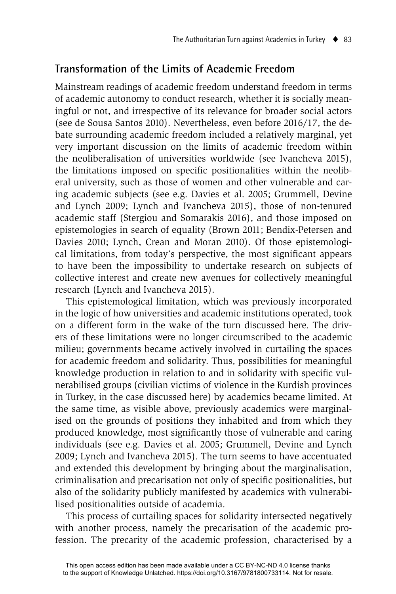# **Transformation of the Limits of Academic Freedom**

Mainstream readings of academic freedom understand freedom in terms of academic autonomy to conduct research, whether it is socially meaningful or not, and irrespective of its relevance for broader social actors (see de Sousa Santos 2010). Nevertheless, even before 2016/17, the debate surrounding academic freedom included a relatively marginal, yet very important discussion on the limits of academic freedom within the neoliberalisation of universities worldwide (see Ivancheva 2015), the limitations imposed on specific positionalities within the neoliberal university, such as those of women and other vulnerable and caring academic subjects (see e.g. Davies et al. 2005; Grummell, Devine and Lynch 2009; Lynch and Ivancheva 2015), those of non-tenured academic staff (Stergiou and Somarakis 2016), and those imposed on epistemologies in search of equality (Brown 2011; Bendix-Petersen and Davies 2010; Lynch, Crean and Moran 2010). Of those epistemological limitations, from today's perspective, the most significant appears to have been the impossibility to undertake research on subjects of collective interest and create new avenues for collectively meaningful research (Lynch and Ivancheva 2015).

This epistemological limitation, which was previously incorporated in the logic of how universities and academic institutions operated, took on a different form in the wake of the turn discussed here. The drivers of these limitations were no longer circumscribed to the academic milieu; governments became actively involved in curtailing the spaces for academic freedom and solidarity. Thus, possibilities for meaningful knowledge production in relation to and in solidarity with specific vulnerabilised groups (civilian victims of violence in the Kurdish provinces in Turkey, in the case discussed here) by academics became limited. At the same time, as visible above, previously academics were marginalised on the grounds of positions they inhabited and from which they produced knowledge, most significantly those of vulnerable and caring individuals (see e.g. Davies et al. 2005; Grummell, Devine and Lynch 2009; Lynch and Ivancheva 2015). The turn seems to have accentuated and extended this development by bringing about the marginalisation, criminalisation and precarisation not only of specific positionalities, but also of the solidarity publicly manifested by academics with vulnerabilised positionalities outside of academia.

This process of curtailing spaces for solidarity intersected negatively with another process, namely the precarisation of the academic profession. The precarity of the academic profession, characterised by a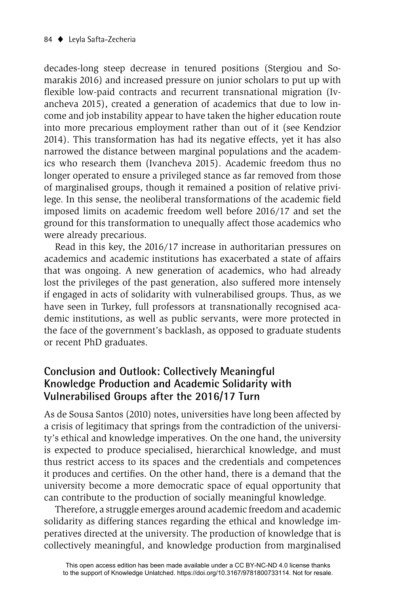decades-long steep decrease in tenured positions (Stergiou and Somarakis 2016) and increased pressure on junior scholars to put up with flexible low-paid contracts and recurrent transnational migration (Ivancheva 2015), created a generation of academics that due to low income and job instability appear to have taken the higher education route into more precarious employment rather than out of it (see Kendzior 2014). This transformation has had its negative effects, yet it has also narrowed the distance between marginal populations and the academics who research them (Ivancheva 2015). Academic freedom thus no longer operated to ensure a privileged stance as far removed from those of marginalised groups, though it remained a position of relative privilege. In this sense, the neoliberal transformations of the academic field imposed limits on academic freedom well before 2016/17 and set the ground for this transformation to unequally affect those academics who were already precarious.

Read in this key, the 2016/17 increase in authoritarian pressures on academics and academic institutions has exacerbated a state of affairs that was ongoing. A new generation of academics, who had already lost the privileges of the past generation, also suffered more intensely if engaged in acts of solidarity with vulnerabilised groups. Thus, as we have seen in Turkey, full professors at transnationally recognised academic institutions, as well as public servants, were more protected in the face of the government's backlash, as opposed to graduate students or recent PhD graduates.

## **Conclusion and Outlook: Collectively Meaningful Knowledge Production and Academic Solidarity with Vulnerabilised Groups after the 2016/17 Turn**

As de Sousa Santos (2010) notes, universities have long been affected by a crisis of legitimacy that springs from the contradiction of the university's ethical and knowledge imperatives. On the one hand, the university is expected to produce specialised, hierarchical knowledge, and must thus restrict access to its spaces and the credentials and competences it produces and certifies. On the other hand, there is a demand that the university become a more democratic space of equal opportunity that can contribute to the production of socially meaningful knowledge.

Therefore, a struggle emerges around academic freedom and academic solidarity as differing stances regarding the ethical and knowledge imperatives directed at the university. The production of knowledge that is collectively meaningful, and knowledge production from marginalised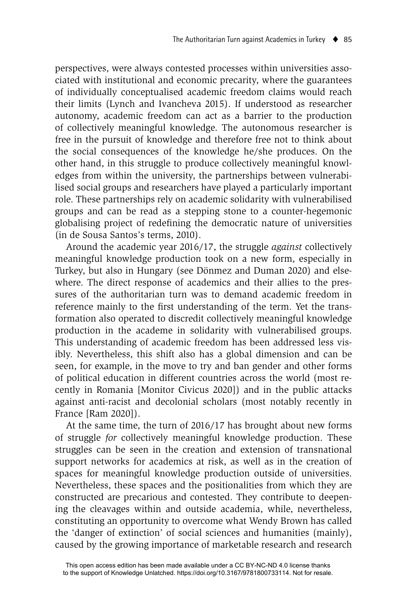perspectives, were always contested processes within universities associated with institutional and economic precarity, where the guarantees of individually conceptualised academic freedom claims would reach their limits (Lynch and Ivancheva 2015). If understood as researcher autonomy, academic freedom can act as a barrier to the production of collectively meaningful knowledge. The autonomous researcher is free in the pursuit of knowledge and therefore free not to think about the social consequences of the knowledge he/she produces. On the other hand, in this struggle to produce collectively meaningful knowledges from within the university, the partnerships between vulnerabilised social groups and researchers have played a particularly important role. These partnerships rely on academic solidarity with vulnerabilised groups and can be read as a stepping stone to a counter-hegemonic globalising project of redefining the democratic nature of universities (in de Sousa Santos's terms, 2010).

Around the academic year 2016/17, the struggle *against* collectively meaningful knowledge production took on a new form, especially in Turkey, but also in Hungary (see Dönmez and Duman 2020) and elsewhere. The direct response of academics and their allies to the pressures of the authoritarian turn was to demand academic freedom in reference mainly to the first understanding of the term. Yet the transformation also operated to discredit collectively meaningful knowledge production in the academe in solidarity with vulnerabilised groups. This understanding of academic freedom has been addressed less visibly. Nevertheless, this shift also has a global dimension and can be seen, for example, in the move to try and ban gender and other forms of political education in different countries across the world (most recently in Romania [Monitor Civicus 2020]) and in the public attacks against anti-racist and decolonial scholars (most notably recently in France [Ram 2020]).

At the same time, the turn of 2016/17 has brought about new forms of struggle *for* collectively meaningful knowledge production. These struggles can be seen in the creation and extension of transnational support networks for academics at risk, as well as in the creation of spaces for meaningful knowledge production outside of universities. Nevertheless, these spaces and the positionalities from which they are constructed are precarious and contested. They contribute to deepening the cleavages within and outside academia, while, nevertheless, constituting an opportunity to overcome what Wendy Brown has called the 'danger of extinction' of social sciences and humanities (mainly), caused by the growing importance of marketable research and research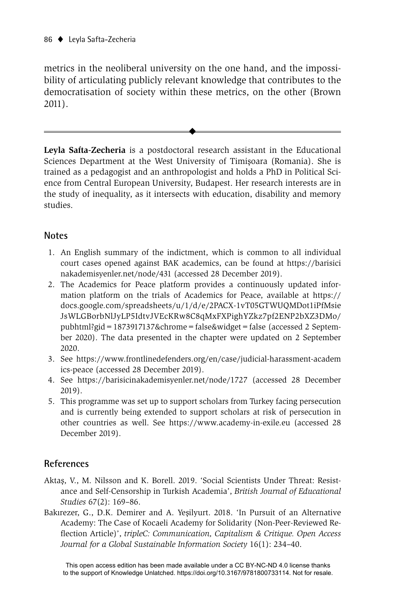metrics in the neoliberal university on the one hand, and the impossibility of articulating publicly relevant knowledge that contributes to the democratisation of society within these metrics, on the other (Brown 2011).

 $\blacklozenge$ 

**Leyla Safta-Zecheria** is a postdoctoral research assistant in the Educational Sciences Department at the West University of Timisoara (Romania). She is trained as a pedagogist and an anthropologist and holds a PhD in Political Science from Central European University, Budapest. Her research interests are in the study of inequality, as it intersects with education, disability and memory studies.

#### **Notes**

- 1. An English summary of the indictment, which is common to all individual court cases opened against BAK academics, can be found at https://barisici nakademisyenler.net/node/431 (accessed 28 December 2019).
- 2. The Academics for Peace platform provides a continuously updated information platform on the trials of Academics for Peace, available at https:// docs.google.com/spreadsheets/u/1/d/e/2PACX-1vT05GTWUQMDot1iPfMsie JsWLGBorbNlJyLP5IdtvJVEcKRw8C8qMxFXPighYZkz7pf2ENP2bXZ3DMo/ pubhtml?gid=1873917137&chrome=false&widget=false (accessed 2 September 2020). The data presented in the chapter were updated on 2 September 2020.
- 3. See https://www.frontlinedefenders.org/en/case/judicial-harassment-academ ics-peace (accessed 28 December 2019).
- 4. See https://barisicinakademisyenler.net/node/1727 (accessed 28 December 2019).
- 5. This programme was set up to support scholars from Turkey facing persecution and is currently being extended to support scholars at risk of persecution in other countries as well. See https://www.academy-in-exile.eu (accessed 28 December 2019).

### **References**

- Aktaş, V., M. Nilsson and K. Borell. 2019. 'Social Scientists Under Threat: Resistance and Self-Censorship in Turkish Academia', *British Journal of Educational Studies* 67(2): 169–86.
- Bakırezer, G., D.K. Demirer and A. Yesilyurt. 2018. 'In Pursuit of an Alternative Academy: The Case of Kocaeli Academy for Solidarity (Non-Peer-Reviewed Reflection Article)', *tripleC: Communication, Capitalism & Critique. Open Access Journal for a Global Sustainable Information Society* 16(1): 234–40.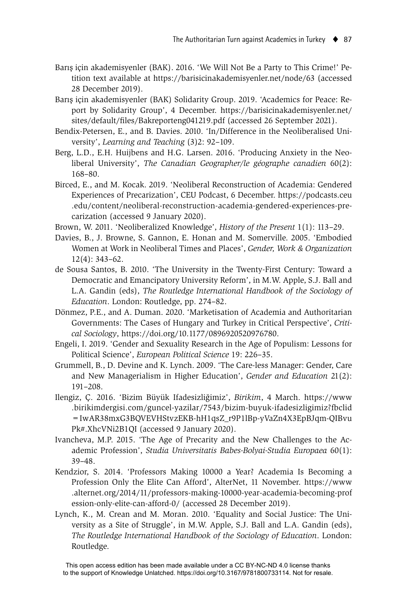- Barış için akademisyenler (BAK). 2016. 'We Will Not Be a Party to This Crime!' Petition text available at https://barisicinakademisyenler.net/node/63 (accessed 28 December 2019).
- Barış için akademisyenler (BAK) Solidarity Group. 2019. 'Academics for Peace: Report by Solidarity Group', 4 December. https://barisicinakademisyenler.net/ sites/default/files/Bakreporteng041219.pdf (accessed 26 September 2021).
- Bendix-Petersen, E., and B. Davies. 2010. 'In/Difference in the Neoliberalised University', *Learning and Teaching* (3)2: 92–109.
- Berg, L.D., E.H. Huijbens and H.G. Larsen. 2016. 'Producing Anxiety in the Neoliberal University', *The Canadian Geographer/le géographe canadien* 60(2): 168–80.
- Birced, E., and M. Kocak. 2019. 'Neoliberal Reconstruction of Academia: Gendered Experiences of Precarization', CEU Podcast, 6 December. https://podcasts.ceu .edu/content/neoliberal-reconstruction-academia-gendered-experiences-precarization (accessed 9 January 2020).
- Brown, W. 2011. 'Neoliberalized Knowledge', *History of the Present* 1(1): 113–29.
- Davies, B., J. Browne, S. Gannon, E. Honan and M. Somerville. 2005. 'Embodied Women at Work in Neoliberal Times and Places', *Gender, Work & Organization* 12(4): 343–62.
- de Sousa Santos, B. 2010. 'The University in the Twenty-First Century: Toward a Democratic and Emancipatory University Reform', in M.W. Apple, S.J. Ball and L.A. Gandin (eds), *The Routledge International Handbook of the Sociology of Education*. London: Routledge, pp. 274–82.
- Dönmez, P.E., and A. Duman. 2020. 'Marketisation of Academia and Authoritarian Governments: The Cases of Hungary and Turkey in Critical Perspective', *Critical Sociology*, https://doi.org/10.1177/0896920520976780.
- Engeli, I. 2019. 'Gender and Sexuality Research in the Age of Populism: Lessons for Political Science', *European Political Science* 19: 226–35.
- Grummell, B., D. Devine and K. Lynch. 2009. 'The Care-less Manager: Gender, Care and New Managerialism in Higher Education', *Gender and Education* 21(2): 191–208.
- Ilengiz, Ç. 2016. 'Bizim Büyük Ifadesizliğimiz', *Birikim*, 4 March. https://www .birikimdergisi.com/guncel-yazilar/7543/bizim-buyuk-ifadesizligimiz?fbclid =IwAR38mxG3BQVEVHStvzEKB-hH1qsZ\_r9P1lBp-yVaZn4X3EpBJqm-QIBvu Pk#.XhcVNi2B1QI (accessed 9 January 2020).
- Ivancheva, M.P. 2015. 'The Age of Precarity and the New Challenges to the Academic Profession', *Studia Universitatis Babes-Bolyai-Studia Europaea* 60(1): 39–48.
- Kendzior, S. 2014. 'Professors Making 10000 a Year? Academia Is Becoming a Profession Only the Elite Can Afford', AlterNet, 11 November. https://www .alternet.org/2014/11/professors-making-10000-year-academia-becoming-prof ession-only-elite-can-afford-0/ (accessed 28 December 2019).
- Lynch, K., M. Crean and M. Moran. 2010. 'Equality and Social Justice: The University as a Site of Struggle', in M.W. Apple, S.J. Ball and L.A. Gandin (eds), *The Routledge International Handbook of the Sociology of Education*. London: Routledge.